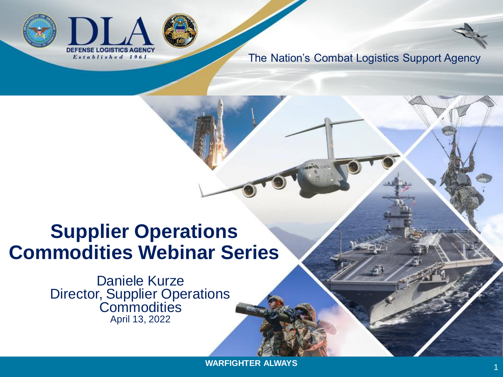



1

# **Supplier Operations Commodities Webinar Series**

Daniele Kurze Director, Supplier Operations **Commodities** April 13, 2022

**WARFIGHTER ALWAYS**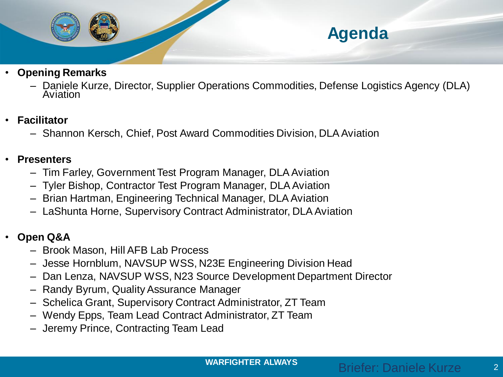

- **Opening Remarks**
	- Daniele Kurze, Director, Supplier Operations Commodities, Defense Logistics Agency (DLA) Aviation
- **Facilitator**
	- Shannon Kersch, Chief, Post Award Commodities Division, DLA Aviation
- **Presenters**
	- Tim Farley, Government Test Program Manager, DLA Aviation
	- Tyler Bishop, Contractor Test Program Manager, DLA Aviation
	- Brian Hartman, Engineering Technical Manager, DLA Aviation
	- LaShunta Horne, Supervisory Contract Administrator, DLA Aviation
- **Open Q&A**
	- Brook Mason, Hill AFB Lab Process
	- Jesse Hornblum, NAVSUP WSS, N23E Engineering Division Head
	- Dan Lenza, NAVSUP WSS, N23 Source Development Department Director
	- Randy Byrum, Quality Assurance Manager
	- Schelica Grant, Supervisory Contract Administrator, ZT Team
	- Wendy Epps, Team Lead Contract Administrator, ZT Team
	- Jeremy Prince, Contracting Team Lead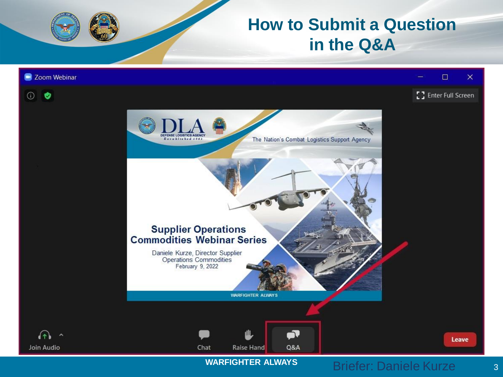### **How to Submit a Question in the Q&A**

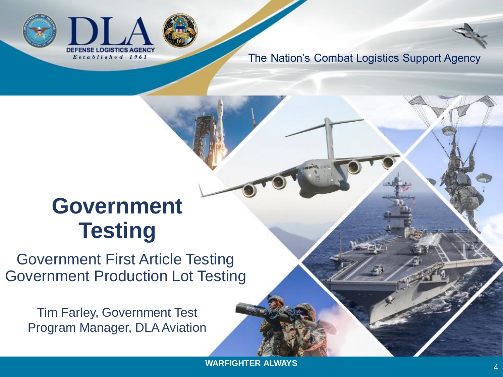



# **Government Testing**

Government First Article Testing Government Production Lot Testing

Tim Farley, Government Test Program Manager, DLA Aviation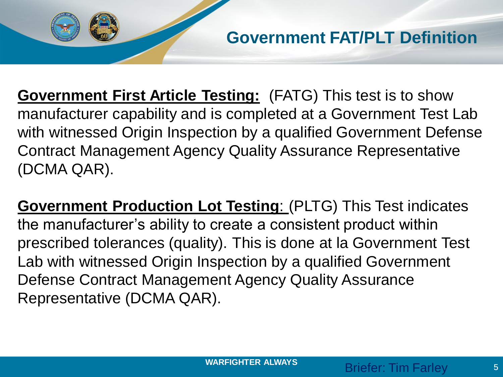**Government First Article Testing:** (FATG) This test is to show manufacturer capability and is completed at a Government Test Lab with witnessed Origin Inspection by a qualified Government Defense Contract Management Agency Quality Assurance Representative (DCMA QAR).

**Government Production Lot Testing**: (PLTG) This Test indicates the manufacturer's ability to create a consistent product within prescribed tolerances (quality). This is done at la Government Test Lab with witnessed Origin Inspection by a qualified Government Defense Contract Management Agency Quality Assurance Representative (DCMA QAR).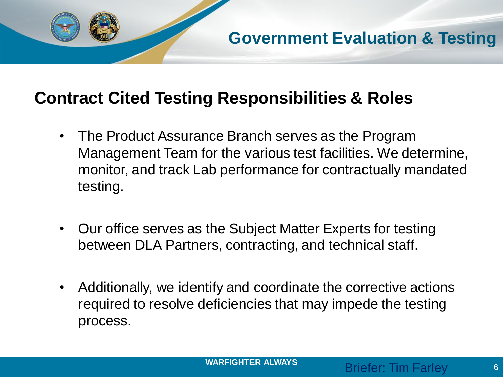

#### **Contract Cited Testing Responsibilities & Roles**

- The Product Assurance Branch serves as the Program Management Team for the various test facilities. We determine, monitor, and track Lab performance for contractually mandated testing.
- Our office serves as the Subject Matter Experts for testing between DLA Partners, contracting, and technical staff.
- Additionally, we identify and coordinate the corrective actions required to resolve deficiencies that may impede the testing process.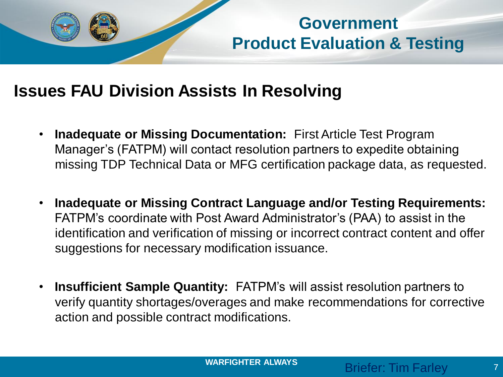

**Government Product Evaluation & Testing**

### **Issues FAU Division Assists In Resolving**

- **Inadequate or Missing Documentation:** First Article Test Program Manager's (FATPM) will contact resolution partners to expedite obtaining missing TDP Technical Data or MFG certification package data, as requested.
- **Inadequate or Missing Contract Language and/or Testing Requirements:** FATPM's coordinate with Post Award Administrator's (PAA) to assist in the identification and verification of missing or incorrect contract content and offer suggestions for necessary modification issuance.
- **Insufficient Sample Quantity:** FATPM's will assist resolution partners to verify quantity shortages/overages and make recommendations for corrective action and possible contract modifications.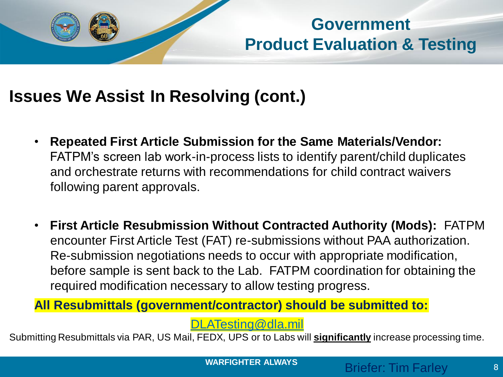

### **Government Product Evaluation & Testing**

### **Issues We Assist In Resolving (cont.)**

- **Repeated First Article Submission for the Same Materials/Vendor:**  FATPM's screen lab work-in-process lists to identify parent/child duplicates and orchestrate returns with recommendations for child contract waivers following parent approvals.
- **First Article Resubmission Without Contracted Authority (Mods):** FATPM encounter First Article Test (FAT) re-submissions without PAA authorization. Re-submission negotiations needs to occur with appropriate modification, before sample is sent back to the Lab. FATPM coordination for obtaining the required modification necessary to allow testing progress.

**All Resubmittals (government/contractor) should be submitted to:**

[DLATesting@dla.mil](mailto:DLATesting@dla.mil)

Submitting Resubmittals via PAR, US Mail, FEDX, UPS or to Labs will **significantly** increase processing time.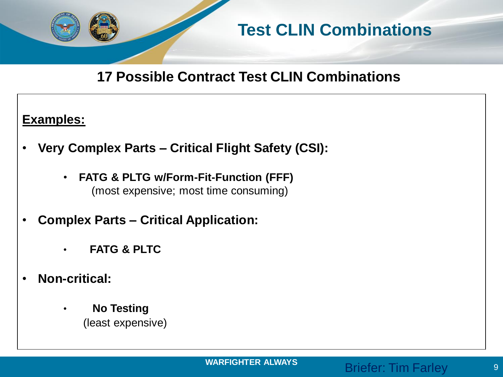

### **Test CLIN Combinations**

#### **17 Possible Contract Test CLIN Combinations**

#### **Examples:**

- **Very Complex Parts – Critical Flight Safety (CSI):**
	- **FATG & PLTG w/Form-Fit-Function (FFF)** (most expensive; most time consuming)
- **Complex Parts – Critical Application:**
	- **FATG & PLTC**
- **Non-critical:**
	- **No Testing** (least expensive)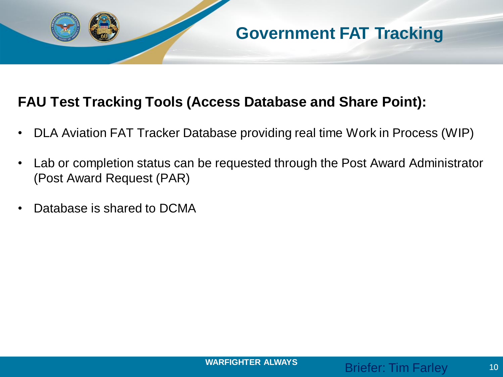

#### **FAU Test Tracking Tools (Access Database and Share Point):**

• DLA Aviation FAT Tracker Database providing real time Work in Process (WIP)

**Government FAT Tracking**

- Lab or completion status can be requested through the Post Award Administrator (Post Award Request (PAR)
- Database is shared to DCMA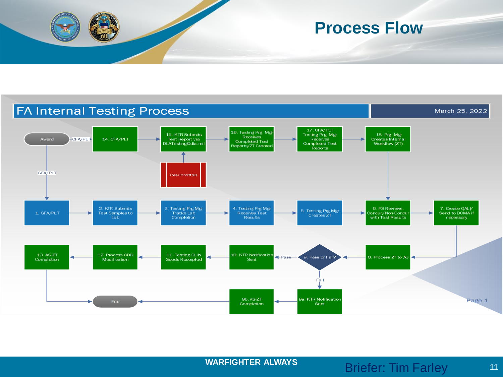

#### **Process Flow**

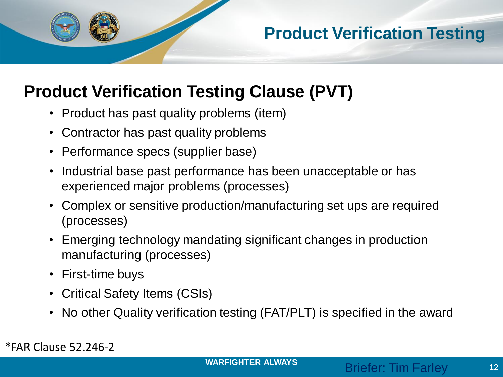

### **Product Verification Testing**

### **Product Verification Testing Clause (PVT)**

- Product has past quality problems (item)
- Contractor has past quality problems
- Performance specs (supplier base)
- Industrial base past performance has been unacceptable or has experienced major problems (processes)
- Complex or sensitive production/manufacturing set ups are required (processes)
- Emerging technology mandating significant changes in production manufacturing (processes)
- First-time buys
- Critical Safety Items (CSIs)
- No other Quality verification testing (FAT/PLT) is specified in the award

\*FAR Clause 52.246-2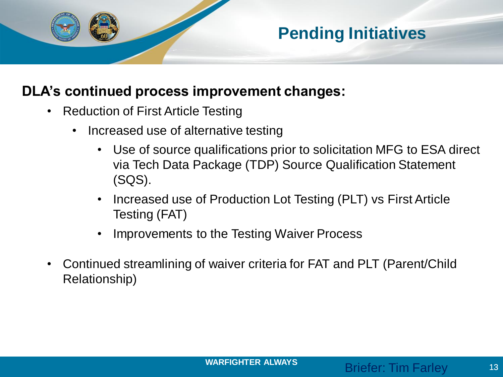

#### **DLA's continued process improvement changes:**

- Reduction of First Article Testing
	- Increased use of alternative testing
		- Use of source qualifications prior to solicitation MFG to ESA direct via Tech Data Package (TDP) Source Qualification Statement (SQS).
		- Increased use of Production Lot Testing (PLT) vs First Article Testing (FAT)
		- Improvements to the Testing Waiver Process
- Continued streamlining of waiver criteria for FAT and PLT (Parent/Child Relationship)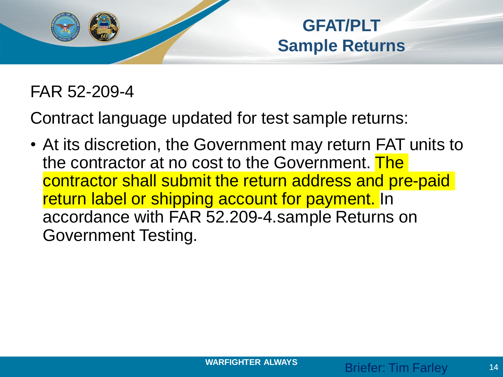

**GFAT/PLT Sample Returns** 

### FAR 52-209-4

Contract language updated for test sample returns:

• At its discretion, the Government may return FAT units to the contractor at no cost to the Government. The contractor shall submit the return address and pre-paid return label or shipping account for payment. In accordance with FAR 52.209-4.sample Returns on Government Testing.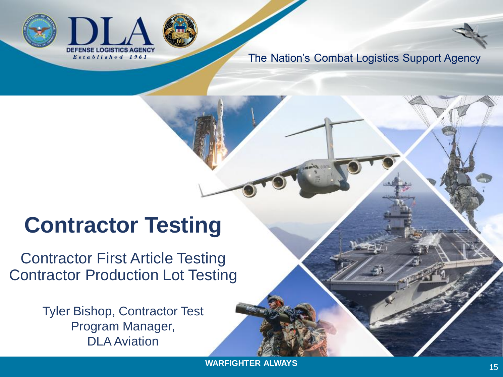



# **Contractor Testing**

Contractor First Article Testing Contractor Production Lot Testing

> Tyler Bishop, Contractor Test Program Manager, DLA Aviation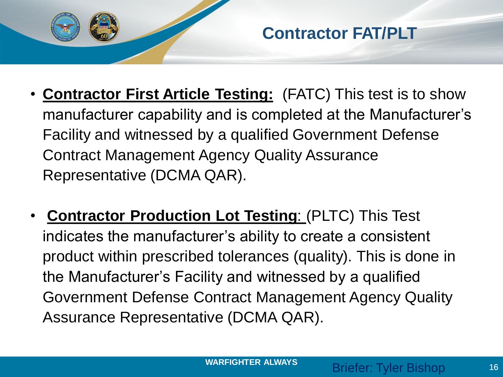

- **Contractor First Article Testing:** (FATC) This test is to show manufacturer capability and is completed at the Manufacturer's Facility and witnessed by a qualified Government Defense Contract Management Agency Quality Assurance Representative (DCMA QAR).
- **Contractor Production Lot Testing**: (PLTC) This Test indicates the manufacturer's ability to create a consistent product within prescribed tolerances (quality). This is done in the Manufacturer's Facility and witnessed by a qualified Government Defense Contract Management Agency Quality Assurance Representative (DCMA QAR).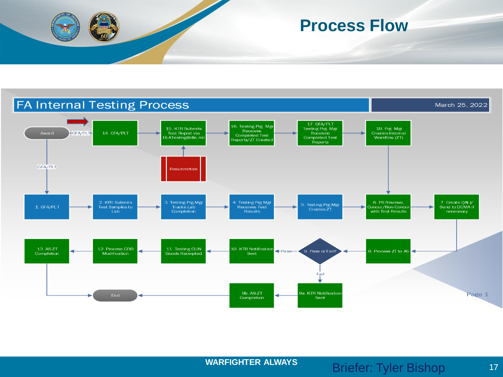

#### **Process Flow**

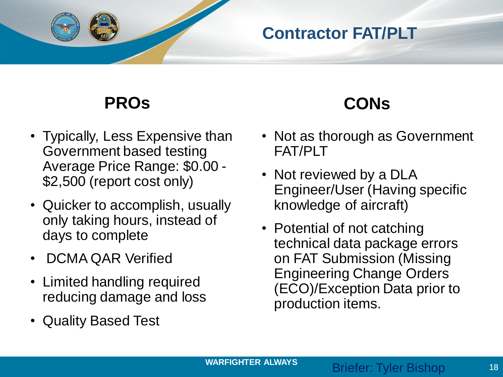

### **Contractor FAT/PLT**

### **PROs**

- Typically, Less Expensive than Government based testing Average Price Range: \$0.00 - \$2,500 (report cost only)
- Quicker to accomplish, usually only taking hours, instead of days to complete
- DCMA QAR Verified
- Limited handling required reducing damage and loss
- Quality Based Test

## **CONs**

- Not as thorough as Government FAT/PLT
- Not reviewed by a DLA Engineer/User (Having specific knowledge of aircraft)
- Potential of not catching technical data package errors on FAT Submission (Missing Engineering Change Orders (ECO)/Exception Data prior to production items.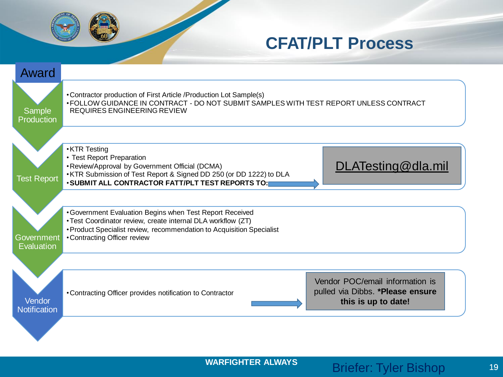

#### **CFAT/PLT Process**

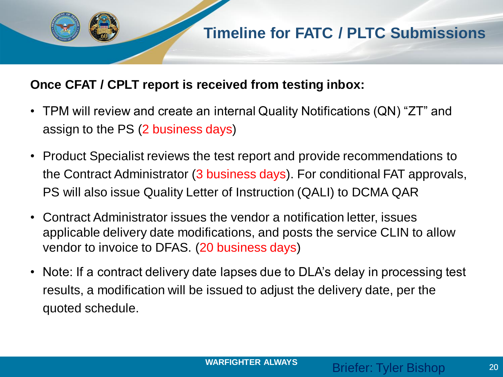#### **Once CFAT / CPLT report is received from testing inbox:**

- TPM will review and create an internal Quality Notifications (QN) "ZT" and assign to the PS (2 business days)
- Product Specialist reviews the test report and provide recommendations to the Contract Administrator (3 business days). For conditional FAT approvals, PS will also issue Quality Letter of Instruction (QALI) to DCMA QAR
- Contract Administrator issues the vendor a notification letter, issues applicable delivery date modifications, and posts the service CLIN to allow vendor to invoice to DFAS. (20 business days)
- Note: If a contract delivery date lapses due to DLA's delay in processing test results, a modification will be issued to adjust the delivery date, per the quoted schedule.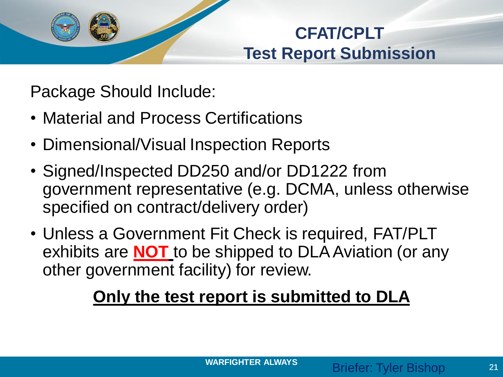

## **CFAT/CPLT Test Report Submission**

Package Should Include:

- Material and Process Certifications
- Dimensional/Visual Inspection Reports
- Signed/Inspected DD250 and/or DD1222 from government representative (e.g. DCMA, unless otherwise specified on contract/delivery order)
- Unless a Government Fit Check is required, FAT/PLT exhibits are **NOT** to be shipped to DLA Aviation (or any other government facility) for review.

## **Only the test report is submitted to DLA**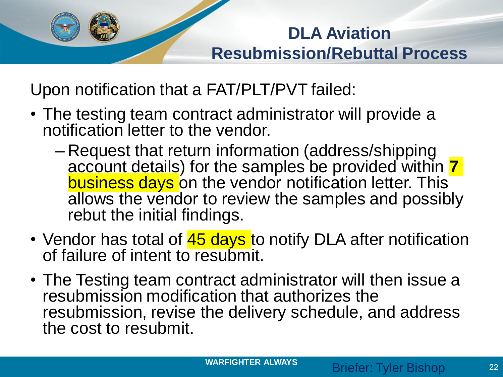# **DLA Aviation Resubmission/Rebuttal Process**

Upon notification that a FAT/PLT/PVT failed:

- The testing team contract administrator will provide a notification letter to the vendor.
	- Request that return information (address/shipping account details) for the samples be provided within **7** business days on the vendor notification letter. This allows the vendor to review the samples and possibly rebut the initial findings.
- Vendor has total of 45 days to notify DLA after notification of failure of intent to resubmit.
- The Testing team contract administrator will then issue a resubmission modification that authorizes the resubmission, revise the delivery schedule, and address the cost to resubmit.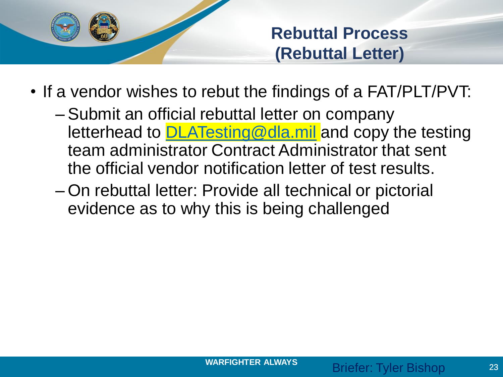

**Rebuttal Process (Rebuttal Letter)**

- If a vendor wishes to rebut the findings of a FAT/PLT/PVT:
	- Submit an official rebuttal letter on company letterhead to **DLATesting@dla.mil** and copy the testing team administrator Contract Administrator that sent the official vendor notification letter of test results.
	- On rebuttal letter: Provide all technical or pictorial evidence as to why this is being challenged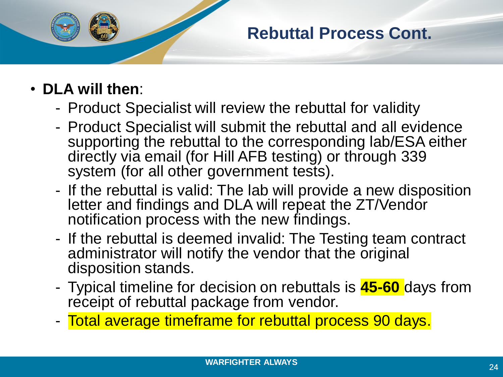

### **Rebuttal Process Cont.**

- **DLA will then**:
	- Product Specialist will review the rebuttal for validity
	- Product Specialist will submit the rebuttal and all evidence supporting the rebuttal to the corresponding lab/ESA either directly via email (for Hill AFB testing) or through 339 system (for all other government tests).
	- If the rebuttal is valid: The lab will provide a new disposition letter and findings and DLA will repeat the ZT/Vendor notification process with the new findings.
	- If the rebuttal is deemed invalid: The Testing team contract administrator will notify the vendor that the original disposition stands.
	- Typical timeline for decision on rebuttals is **45-60** days from receipt of rebuttal package from vendor.
	- Total average timeframe for rebuttal process 90 days.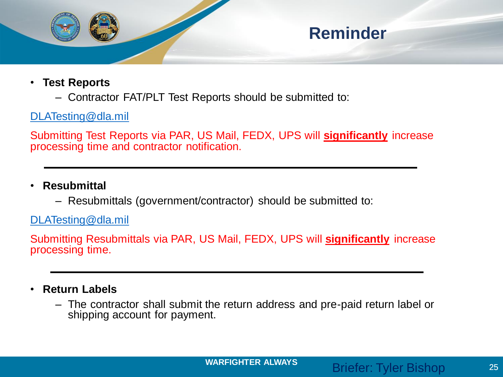

- **Test Reports**
	- Contractor FAT/PLT Test Reports should be submitted to:

#### [DLATesting@dla.mil](mailto:DLATesting@dla.mil)

Submitting Test Reports via PAR, US Mail, FEDX, UPS will **significantly** increase processing time and contractor notification.

- **Resubmittal**
	- Resubmittals (government/contractor) should be submitted to:

[DLATesting@dla.mil](mailto:DLATesting@dla.mil)

Submitting Resubmittals via PAR, US Mail, FEDX, UPS will **significantly** increase processing time.

- **Return Labels**
	- The contractor shall submit the return address and pre-paid return label or shipping account for payment.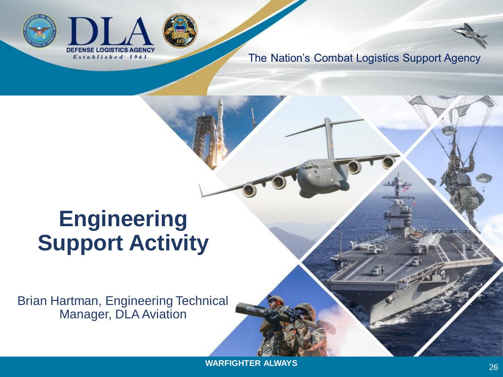



# **Engineering Support Activity**

Brian Hartman, Engineering Technical Manager, DLA Aviation

**WARFIGHTER ALWAYS**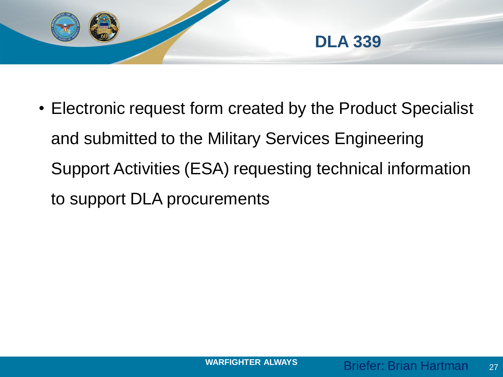

• Electronic request form created by the Product Specialist and submitted to the Military Services Engineering Support Activities (ESA) requesting technical information to support DLA procurements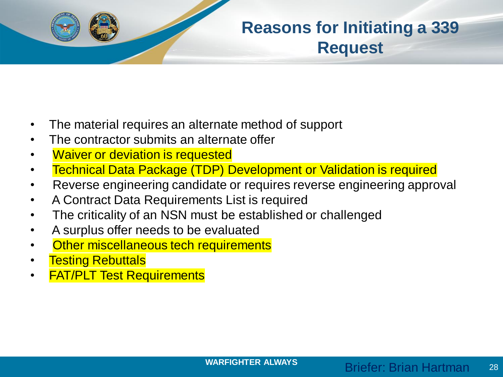

### **Reasons for Initiating a 339 Request**

- The material requires an alternate method of support
- The contractor submits an alternate offer
- **Waiver or deviation is requested**
- Technical Data Package (TDP) Development or Validation is required
- Reverse engineering candidate or requires reverse engineering approval
- A Contract Data Requirements List is required
- The criticality of an NSN must be established or challenged
- A surplus offer needs to be evaluated
- **Other miscellaneous tech requirements**
- **Testing Rebuttals**
- **FAT/PLT Test Requirements**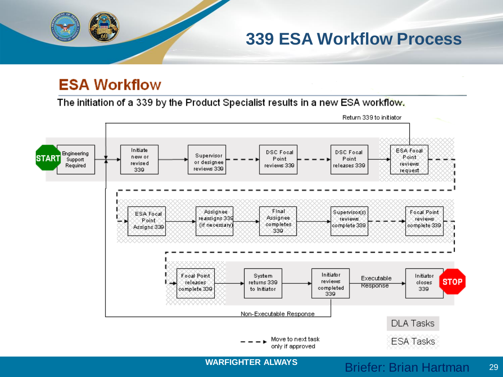**339 ESA Workflow Process**

#### **ESA Workflow**

The initiation of a 339 by the Product Specialist results in a new ESA workflow.

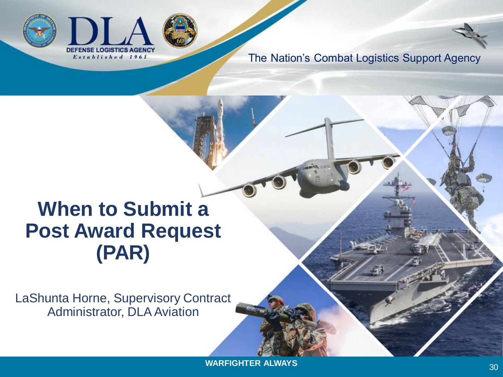



# **When to Submit a Post Award Request (PAR)**

LaShunta Horne, Supervisory Contract Administrator, DLA Aviation

**WARFIGHTER ALWAYS**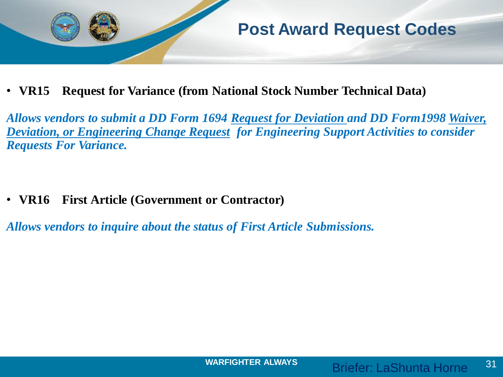

• **VR15 Request for Variance (from National Stock Number Technical Data)**

*Allows vendors to submit a DD Form 1694 Request for Deviation and DD Form1998 Waiver, Deviation, or Engineering Change Request for Engineering Support Activities to consider Requests For Variance.*

• **VR16 First Article (Government or Contractor)** 

*Allows vendors to inquire about the status of First Article Submissions.*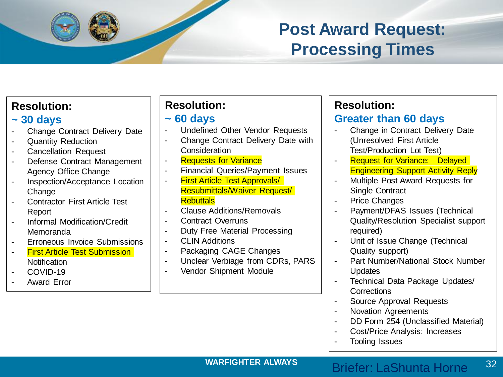### **Post Award Request: Processing Times**

| JU uays |                                      |
|---------|--------------------------------------|
|         | Change Contract Delivery Date        |
|         | <b>Quantity Reduction</b>            |
|         | <b>Cancellation Request</b>          |
|         | Defense Contract Management          |
|         | <b>Agency Office Change</b>          |
|         | Inspection/Acceptance Location       |
|         | Change                               |
|         | <b>Contractor First Article Test</b> |
|         | Report                               |
|         | <b>Informal Modification/Credit</b>  |
|         | Memoranda                            |
|         |                                      |

- Erroneous Invoice Submissions
- First Article Test Submission **Notification**
- COVID-19

**Resolution: ~ 30 days**

Award Frror

#### **Resolution:**

#### **~ 60 days**

- Undefined Other Vendor Requests
- Change Contract Delivery Date with **Consideration**
- **Requests for Variance**
- Financial Queries/Payment Issues
- **First Article Test Approvals/** Resubmittals/Waiver Request/ **Rebuttals**
- Clause Additions/Removals
- Contract Overruns
- Duty Free Material Processing
- CLIN Additions
- Packaging CAGE Changes
- Unclear Verbiage from CDRs, PARS
- Vendor Shipment Module

#### **Resolution:**

#### **Greater than 60 days**

- Change in Contract Delivery Date (Unresolved First Article Test/Production Lot Test)
- **Request for Variance: Delayed** Engineering Support Activity Reply
- Multiple Post Award Requests for Single Contract
- Price Changes
- Payment/DFAS Issues (Technical Quality/Resolution Specialist support required)
- Unit of Issue Change (Technical Quality support)
- Part Number/National Stock Number **Updates**
- Technical Data Package Updates/ **Corrections**
- Source Approval Requests
- Novation Agreements
- DD Form 254 (Unclassified Material)
- Cost/Price Analysis: Increases
- Tooling Issues